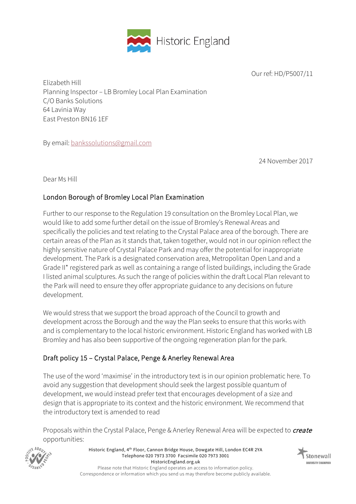

Our ref: HD/P5007/11

Elizabeth Hill Planning Inspector – LB Bromley Local Plan Examination C/O Banks Solutions 64 Lavinia Way East Preston BN16 1EF

By email: bankssolutions@gmail.com

24 November 2017

Dear Ms Hill

# London Borough of Bromley Local Plan Examination

Further to our response to the Regulation 19 consultation on the Bromley Local Plan, we would like to add some further detail on the issue of Bromley's Renewal Areas and specifically the policies and text relating to the Crystal Palace area of the borough. There are certain areas of the Plan as it stands that, taken together, would not in our opinion reflect the highly sensitive nature of Crystal Palace Park and may offer the potential for inappropriate development. The Park is a designated conservation area, Metropolitan Open Land and a Grade II\* registered park as well as containing a range of listed buildings, including the Grade I listed animal sculptures. As such the range of policies within the draft Local Plan relevant to the Park will need to ensure they offer appropriate guidance to any decisions on future development.

We would stress that we support the broad approach of the Council to growth and development across the Borough and the way the Plan seeks to ensure that this works with and is complementary to the local historic environment. Historic England has worked with LB Bromley and has also been supportive of the ongoing regeneration plan for the park.

# Draft policy 15 – Crystal Palace, Penge & Anerley Renewal Area

The use of the word 'maximise' in the introductory text is in our opinion problematic here. To avoid any suggestion that development should seek the largest possible quantum of development, we would instead prefer text that encourages development of a size and design that is appropriate to its context and the historic environment. We recommend that the introductory text is amended to read

Proposals within the Crystal Palace, Penge & Anerley Renewal Area will be expected to *create* opportunities:



Historic England, 4th Floor, Cannon Bridge House, Dowgate Hill, London EC4R 2YA Telephone 020 7973 3700 Facsimile 020 7973 3001 HistoricEngland.org.uk Please note that Historic England operates an access to information policy. Correspondence or information which you send us may therefore become publicly available.

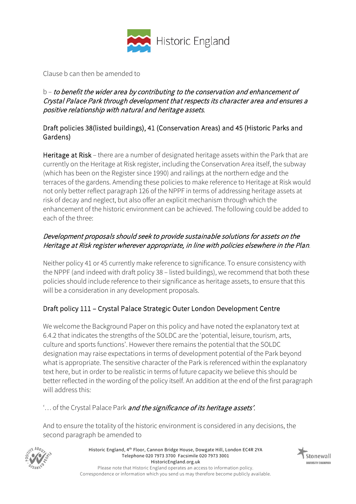

Clause b can then be amended to

#### b – to benefit the wider area by contributing to the conservation and enhancement of Crystal Palace Park through development that respects its character area and ensures a positive relationship with natural and heritage assets.

### Draft policies 38(listed buildings), 41 (Conservation Areas) and 45 (Historic Parks and Gardens)

Heritage at Risk - there are a number of designated heritage assets within the Park that are currently on the Heritage at Risk register, including the Conservation Area itself, the subway (which has been on the Register since 1990) and railings at the northern edge and the terraces of the gardens. Amending these policies to make reference to Heritage at Risk would not only better reflect paragraph 126 of the NPPF in terms of addressing heritage assets at risk of decay and neglect, but also offer an explicit mechanism through which the enhancement of the historic environment can be achieved. The following could be added to each of the three:

## Development proposals should seek to provide sustainable solutions for assets on the Heritage at Risk register wherever appropriate, in line with policies elsewhere in the Plan.

Neither policy 41 or 45 currently make reference to significance. To ensure consistency with the NPPF (and indeed with draft policy 38 – listed buildings), we recommend that both these policies should include reference to their significance as heritage assets, to ensure that this will be a consideration in any development proposals.

# Draft policy 111 – Crystal Palace Strategic Outer London Development Centre

We welcome the Background Paper on this policy and have noted the explanatory text at 6.4.2 that indicates the strengths of the SOLDC are the 'potential, leisure, tourism, arts, culture and sports functions'. However there remains the potential that the SOLDC designation may raise expectations in terms of development potential of the Park beyond what is appropriate. The sensitive character of the Park is referenced within the explanatory text here, but in order to be realistic in terms of future capacity we believe this should be better reflected in the wording of the policy itself. An addition at the end of the first paragraph will address this:

'... of the Crystal Palace Park and the significance of its heritage assets'.

And to ensure the totality of the historic environment is considered in any decisions, the second paragraph be amended to



Historic England, 4th Floor, Cannon Bridge House, Dowgate Hill, London EC4R 2YA Telephone 020 7973 3700 Facsimile 020 7973 3001 HistoricEngland.org.uk Please note that Historic England operates an access to information policy. Correspondence or information which you send us may therefore become publicly available.